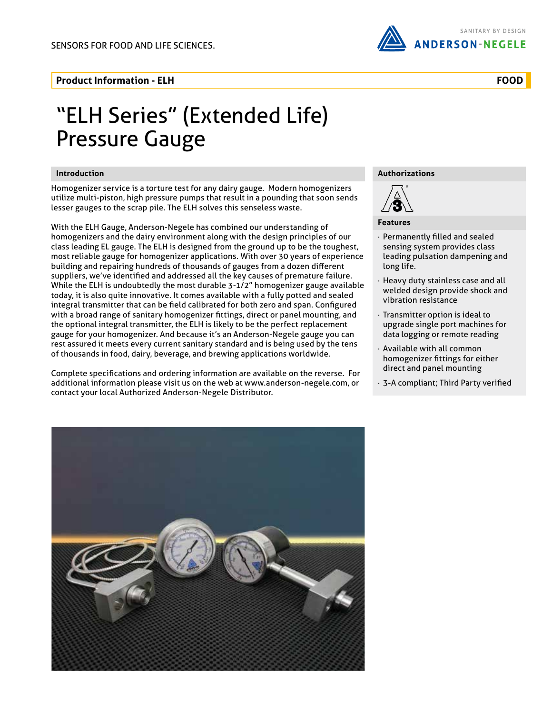

## **Product Information - ELH**

# "ELH Series" (Extended Life) Pressure Gauge

### **Introduction**

Homogenizer service is a torture test for any dairy gauge. Modern homogenizers utilize multi-piston, high pressure pumps that result in a pounding that soon sends lesser gauges to the scrap pile. The ELH solves this senseless waste.

With the ELH Gauge, Anderson-Negele has combined our understanding of homogenizers and the dairy environment along with the design principles of our class leading EL gauge. The ELH is designed from the ground up to be the toughest, most reliable gauge for homogenizer applications. With over 30 years of experience building and repairing hundreds of thousands of gauges from a dozen different suppliers, we've identified and addressed all the key causes of premature failure. While the ELH is undoubtedly the most durable 3-1/2" homogenizer gauge available today, it is also quite innovative. It comes available with a fully potted and sealed integral transmitter that can be field calibrated for both zero and span. Configured with a broad range of sanitary homogenizer fittings, direct or panel mounting, and the optional integral transmitter, the ELH is likely to be the perfect replacement gauge for your homogenizer. And because it's an Anderson-Negele gauge you can rest assured it meets every current sanitary standard and is being used by the tens of thousands in food, dairy, beverage, and brewing applications worldwide.

Complete specifications and ordering information are available on the reverse. For additional information please visit us on the web at www.anderson-negele.com, or contact your local Authorized Anderson-Negele Distributor.

### **Authorizations**



#### **Features**

- · Permanently filled and sealed sensing system provides class leading pulsation dampening and long life.
- · Heavy duty stainless case and all welded design provide shock and vibration resistance
- · Transmitter option is ideal to upgrade single port machines for data logging or remote reading
- · Available with all common homogenizer fittings for either direct and panel mounting
- · 3-A compliant; Third Party verified